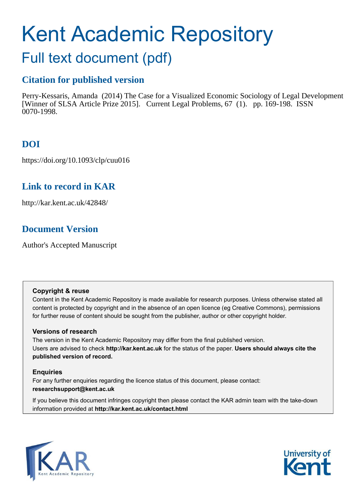# Kent Academic Repository

## Full text document (pdf)

## **Citation for published version**

Perry-Kessaris, Amanda (2014) The Case for a Visualized Economic Sociology of Legal Development [Winner of SLSA Article Prize 2015]. Current Legal Problems, 67 (1). pp. 169-198. ISSN 0070-1998.

## **DOI**

https://doi.org/10.1093/clp/cuu016

### **Link to record in KAR**

http://kar.kent.ac.uk/42848/

## **Document Version**

Author's Accepted Manuscript

#### **Copyright & reuse**

Content in the Kent Academic Repository is made available for research purposes. Unless otherwise stated all content is protected by copyright and in the absence of an open licence (eg Creative Commons), permissions for further reuse of content should be sought from the publisher, author or other copyright holder.

#### **Versions of research**

The version in the Kent Academic Repository may differ from the final published version. Users are advised to check **http://kar.kent.ac.uk** for the status of the paper. **Users should always cite the published version of record.**

#### **Enquiries**

For any further enquiries regarding the licence status of this document, please contact: **researchsupport@kent.ac.uk**

If you believe this document infringes copyright then please contact the KAR admin team with the take-down information provided at **http://kar.kent.ac.uk/contact.html**



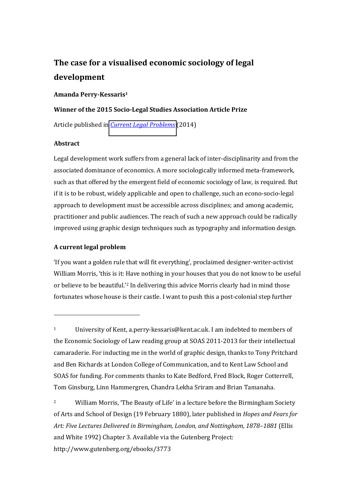## **The case for a visualised economic sociology of legal development**

#### **Amanda Perry-Kessaris<sup>1</sup>**

## **Winner of the 2015 Socio-Legal Studies Association Article Prize**  Article published in *[Current Legal Problems](https://clp.oxfordjournals.org/)* (2014)

#### **Abstract**

 $\overline{a}$ 

Legal development work suffers from a general lack of inter-disciplinarity and from the associated dominance of economics. A more sociologically informed meta-framework, such as that offered by the emergent field of economic sociology of law, is required. But if it is to be robust, widely applicable and open to challenge, such an econo-socio-legal approach to development must be accessible across disciplines; and among academic, practitioner and public audiences. The reach of such a new approach could be radically improved using graphic design techniques such as typography and information design.

#### **A current legal problem**

'If you want a golden rule that will fit everything', proclaimed designer-writer-activist William Morris, 'this is it: Have nothing in your houses that you do not know to be useful or believe to be beautiful.<sup>2</sup> In delivering this advice Morris clearly had in mind those fortunates whose house is their castle. I want to push this a post-colonial step further

<sup>1</sup> University of Kent, a.perry-kessaris@kent.ac.uk. I am indebted to members of the Economic Sociology of Law reading group at SOAS 2011-2013 for their intellectual camaraderie. For inducting me in the world of graphic design, thanks to Tony Pritchard and Ben Richards at London College of Communication, and to Kent Law School and SOAS for funding. For comments thanks to Kate Bedford, Fred Block, Roger Cotterrell, Tom Ginsburg, Linn Hammergren, Chandra Lekha Sriram and Brian Tamanaha.

<sup>&</sup>lt;sup>2</sup> William Morris, 'The Beauty of Life' in a lecture before the Birmingham Society of Arts and School of Design (19 February 1880), later published in *Hopes and Fears for Art: Five Lectures Delivered in Birmingham, London, and Nottingham, 1878‒1881* (Ellis and White 1992) Chapter 3. Available via the Gutenberg Project: http://www.gutenberg.org/ebooks/3773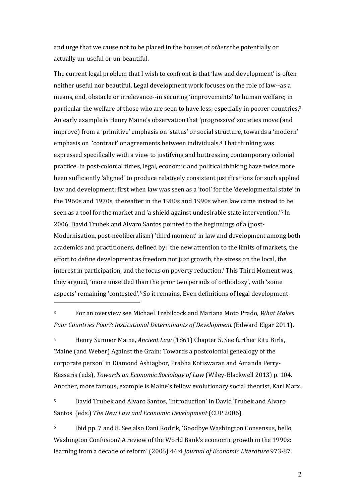and urge that we cause not to be placed in the houses of *others* the potentially or actually un-useful or un-beautiful.

The current legal problem that I wish to confront is that 'law and development' is often neither useful nor beautiful. Legal development work focuses on the role of law--as a means, end, obstacle or irrelevance--in securing 'improvements' to human welfare; in particular the welfare of those who are seen to have less; especially in poorer countries.<sup>3</sup> An early example is Henry Maine's observation that 'progressive' societies move (and improve) from a 'primitive' emphasis on 'status' or social structure, towards a 'modern' emphasis on 'contract' or agreements between individuals.<sup>4</sup> That thinking was expressed specifically with a view to justifying and buttressing contemporary colonial practice. In post-colonial times, legal, economic and political thinking have twice more been sufficiently 'aligned' to produce relatively consistent justifications for such applied law and development: first when law was seen as a 'tool' for the 'developmental state' in the 1960s and 1970s, thereafter in the 1980s and 1990s when law came instead to be seen as a tool for the market and 'a shield against undesirable state intervention.'<sup>5</sup> In 2006, David Trubek and Alvaro Santos pointed to the beginnings of a (post-Modernisation, post-neoliberalism) 'third moment' in law and development among both academics and practitioners, defined by: 'the new attention to the limits of markets, the effort to define development as freedom not just growth, the stress on the local, the interest in participation, and the focus on poverty reduction.' This Third Moment was, they argued, 'more unsettled than the prior two periods of orthodoxy', with 'some aspects' remaining 'contested'.<sup>6</sup> So it remains. Even definitions of legal development

<sup>3</sup> For an overview see Michael Trebilcock and Mariana Moto Prado, *What Makes Poor Countries Poor?: Institutional Determinants of Development* (Edward Elgar 2011).

 $\overline{a}$ 

<sup>4</sup> Henry Sumner Maine, *Ancient Law* (1861) Chapter 5. See further Ritu Birla, 'Maine (and Weber) Against the Grain: Towards a postcolonial genealogy of the corporate person' in Diamond Ashiagbor, Prabha Kotiswaran and Amanda Perry-Kessaris (eds), *Towards an Economic Sociology of Law* (Wiley-Blackwell 2013) p. 104. Another, more famous, example is Maine's fellow evolutionary social theorist, Karl Marx.

5 David Trubek and Alvaro Santos, 'Introduction' in David Trubek and Alvaro Santos(eds.) *The New Law and Economic Development* (CUP 2006).

6 Ibid pp. 7 and 8. See also Dani Rodrik, 'Goodbye Washington Consensus, hello Washington Confusion? A review of the World Bank's economic growth in the 1990s: learning from a decade of reform' (2006) 44:4 *Journal of Economic Literature* 973-87.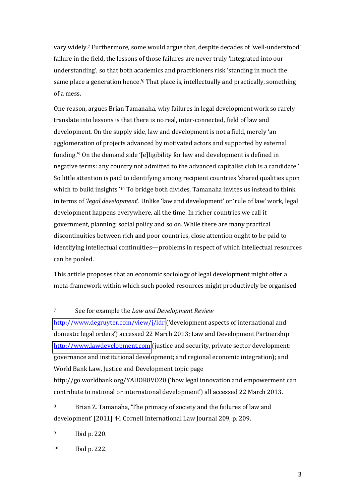vary widely.7 Furthermore, some would argue that, despite decades of 'well-understood' failure in the field, the lessons of those failures are never truly 'integrated into our understanding', so that both academics and practitioners risk 'standing in much the same place a generation hence.<sup>78</sup> That place is, intellectually and practically, something of a mess.

One reason, argues Brian Tamanaha, why failures in legal development work so rarely translate into lessons is that there is no real, inter-connected, field of law and development. On the supply side, law and development is not a field, merely 'an agglomeration of projects advanced by motivated actors and supported by external funding.<sup>'9</sup> On the demand side '[e]ligibility for law and development is defined in negative terms: any country not admitted to the advanced capitalist club is a candidate.' So little attention is paid to identifying among recipient countries 'shared qualities upon which to build insights.'<sup>10</sup> To bridge both divides, Tamanaha invites us instead to think in terms of *'legal development'*. Unlike 'law and development' or 'rule of law' work, legal development happens everywhere, all the time. In richer countries we call it government, planning, social policy and so on. While there are many practical discontinuities between rich and poor countries, close attention ought to be paid to identifying intellectual continuities—problems in respect of which intellectual resources can be pooled.

This article proposes that an economic sociology of legal development might offer a meta-framework within which such pooled resources might productively be organised.

<sup>9</sup> Ibid p. 220.

 $\overline{\phantom{a}}$ 

<sup>7</sup> See for example the *Law and Development Review*

<http://www.degruyter.com/view/j/ldr> ('development aspects of international and domestic legal orders') accessed 22 March 2013; Law and Development Partnership [http://www.lawdevelopment.com](http://www.lawdevelopment.com/) (justice and security, private sector development: governance and institutional development; and regional economic integration); and World Bank Law, Justice and Development topic page

http://go.worldbank.org/YAUOR8VO20 ('how legal innovation and empowerment can contribute to national or international development') all accessed 22 March 2013.

<sup>8</sup> Brian Z. Tamanaha, 'The primacy of society and the failures of law and development' [2011] 44 Cornell International Law Journal 209, p. 209.

<sup>10</sup> Ibid p. 222.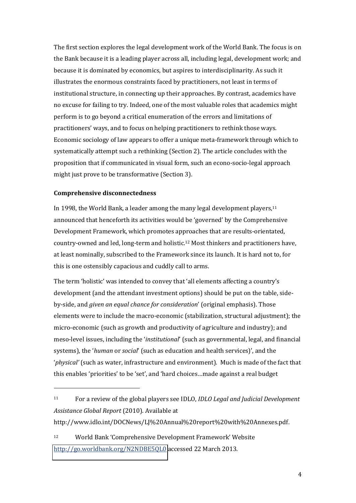The first section explores the legal development work of the World Bank. The focus is on the Bank because it is a leading player across all, including legal, development work; and because it is dominated by economics, but aspires to interdisciplinarity. As such it illustrates the enormous constraints faced by practitioners, not least in terms of institutional structure, in connecting up their approaches. By contrast, academics have no excuse for failing to try. Indeed, one of the most valuable roles that academics might perform is to go beyond a critical enumeration of the errors and limitations of practitioners' ways, and to focus on helping practitioners to rethink those ways. Economic sociology of law appears to offer a unique meta-framework through which to systematically attempt such a rethinking (Section 2). The article concludes with the proposition that if communicated in visual form, such an econo-socio-legal approach might just prove to be transformative (Section 3).

#### **Comprehensive disconnectedness**

 $\overline{\phantom{a}}$ 

In 1998, the World Bank, a leader among the many legal development players, $11$ announced that henceforth its activities would be 'governed' by the Comprehensive Development Framework, which promotes approaches that are results-orientated, country-owned and led, long-term and holistic.12 Most thinkers and practitioners have, at least nominally, subscribed to the Framework since its launch. It is hard not to, for this is one ostensibly capacious and cuddly call to arms.

The term 'holistic' was intended to convey that 'all elements affecting a country's development (and the attendant investment options) should be put on the table, sideby-side, and *given an equal chance for consideration'* (original emphasis). Those elements were to include the macro-economic (stabilization, structural adjustment); the micro-economic (such as growth and productivity of agriculture and industry); and meso-level issues, including the *'institutional'* (such as governmental, legal, and financial systems), the 'human or *social'* (such as education and health services)', and the *'physical'* (such as water, infrastructure and environment). Much is made of the fact that this enables 'priorities' to be 'set', and 'hard choices...made against a real budget

http://www.idlo.int/DOCNews/LJ%20Annual%20report%20with%20Annexes.pdf.

<sup>12</sup> World Bank 'Comprehensive Development Framework' Website [http://go.worldbank.org/N2NDBE5QL0 a](http://go.worldbank.org/N2NDBE5QL0)ccessed 22 March 2013.

<sup>11</sup> For a review of the global players see IDLO, *IDLO Legal and Judicial Development Assistance Global Report* (2010). Available at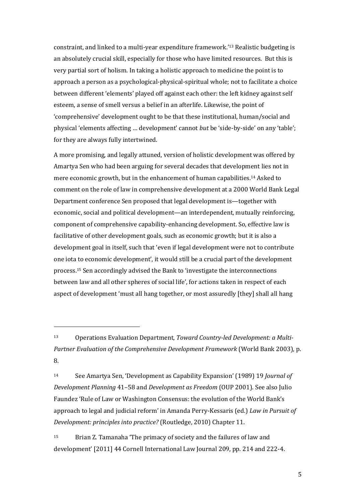constraint, and linked to a multi-year expenditure framework.<sup>'13</sup> Realistic budgeting is an absolutely crucial skill, especially for those who have limited resources. But this is very partial sort of holism. In taking a holistic approach to medicine the point is to approach a person as a psychological-physical-spiritual whole; not to facilitate a choice between different 'elements' played off against each other: the left kidney against self esteem, a sense of smell versus a belief in an afterlife. Likewise, the point of 'comprehensive' development ought to be that these institutional, human/social and physical 'elements affecting ... development' cannot *but* be 'side-by-side' on any 'table'; for they are always fully intertwined.

A more promising, and legally attuned, version of holistic development was offered by Amartya Sen who had been arguing for several decades that development lies not in mere economic growth, but in the enhancement of human capabilities.14 Asked to comment on the role of law in comprehensive development at a 2000 World Bank Legal Department conference Sen proposed that legal development is—together with economic, social and political development—an interdependent, mutually reinforcing, component of comprehensive capability-enhancing development. So, effective law is facilitative of other development goals, such as economic growth; but it is also a development goal in itself, such that 'even if legal development were not to contribute one iota to economic development', it would still be a crucial part of the development process.<sup>15</sup> Sen accordingly advised the Bank to 'investigate the interconnections between law and all other spheres of social life', for actions taken in respect of each aspect of development 'must all hang together, or most assuredly [they] shall all hang

 $\overline{\phantom{a}}$ 

14 See Amartya Sen, 'Development as Capability Expansion' (1989) 19 *Journal of Development Planning* 41‒58 and *Development as Freedom* (OUP 2001). See also Julio Faundez 'Rule of Law or Washington Consensus: the evolution of the World Bank's approach to legal and judicial reform' in Amanda Perry-Kessaris (ed.) *Law in Pursuit of Development: principles into practice?* (Routledge, 2010) Chapter 11.

 $15$  Brian Z. Tamanaha 'The primacy of society and the failures of law and development' [2011] 44 Cornell International Law Journal 209, pp. 214 and 222-4.

<sup>13</sup> Operations Evaluation Department, *Toward Country-led Development: a Multi-Partner Evaluation of the Comprehensive Development Framework* (World Bank 2003), p. 8.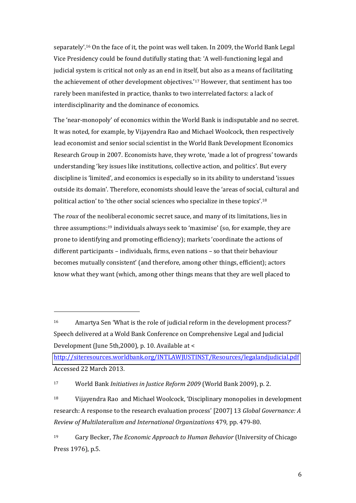separately'.<sup>16</sup> On the face of it, the point was well taken. In 2009, the World Bank Legal Vice Presidency could be found dutifully stating that: 'A well-functioning legal and judicial system is critical not only as an end in itself, but also as a means of facilitating the achievement of other development objectives.<sup>'17</sup> However, that sentiment has too rarely been manifested in practice, thanks to two interrelated factors: a lack of interdisciplinarity and the dominance of economics.

The 'near-monopoly' of economics within the World Bank is indisputable and no secret. It was noted, for example, by Vijayendra Rao and Michael Woolcock, then respectively lead economist and senior social scientist in the World Bank Development Economics Research Group in 2007. Economists have, they wrote, 'made a lot of progress' towards understanding 'key issues like institutions, collective action, and politics'. But every discipline is 'limited', and economics is especially so in its ability to understand 'issues outside its domain'. Therefore, economists should leave the 'areas of social, cultural and political action' to 'the other social sciences who specialize in these topics'.<sup>18</sup>

The *roux* of the neoliberal economic secret sauce, and many of its limitations, lies in three assumptions:<sup>19</sup> individuals always seek to 'maximise' (so, for example, they are prone to identifying and promoting efficiency); markets 'coordinate the actions of different participants – individuals, firms, even nations – so that their behaviour becomes mutually consistent' (and therefore, among other things, efficient); actors know what they want (which, among other things means that they are well placed to

<http://siteresources.worldbank.org/INTLAWJUSTINST/Resources/legalandjudicial.pdf> Accessed 22 March 2013.

<sup>17</sup> World Bank *Initiatives in Justice Reform 2009* (World Bank 2009), p. 2.

 $\overline{a}$ 

 $18$  Vijayendra Rao and Michael Woolcock, 'Disciplinary monopolies in development research: A response to the research evaluation process' [2007] 13 Global Governance: A *Review of Multilateralism and International Organizations* 479, pp. 479-80.

<sup>19</sup> Gary Becker, *The Economic Approach to Human Behavior* (University of Chicago Press 1976), p.5.

<sup>16</sup> Amartya Sen 'What is the role of judicial reform in the development process?' Speech delivered at a Wold Bank Conference on Comprehensive Legal and Judicial Development (June 5th,2000), p. 10. Available at <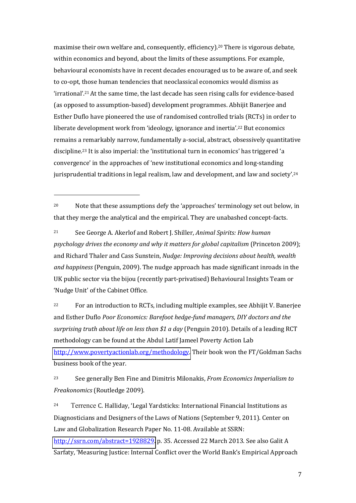maximise their own welfare and, consequently, efficiency).20 There is vigorous debate, within economics and beyond, about the limits of these assumptions. For example, behavioural economists have in recent decades encouraged us to be aware of, and seek to co-opt, those human tendencies that neoclassical economics would dismiss as  $'$ irrational'.<sup>21</sup> At the same time, the last decade has seen rising calls for evidence-based (as opposed to assumption-based) development programmes. Abhijit Banerjee and Esther Duflo have pioneered the use of randomised controlled trials (RCTs) in order to liberate development work from 'ideology, ignorance and inertia'.<sup>22</sup> But economics remains a remarkably narrow, fundamentally a-social, abstract, obsessively quantitative discipline.<sup>23</sup> It is also imperial: the 'institutional turn in economics' has triggered 'a convergence' in the approaches of 'new institutional economics and long-standing jurisprudential traditions in legal realism, law and development, and law and society'. $^{\rm 24}$ 

<sup>20</sup> Note that these assumptions defy the 'approaches' terminology set out below, in that they merge the analytical and the empirical. They are unabashed concept-facts.

 $\overline{\phantom{a}}$ 

<sup>21</sup> See George A. Akerlof and Robert J. Shiller, *Animal Spirits: How human psychology drives the economy and why it matters for global capitalism* (Princeton 2009); and Richard Thaler and Cass Sunstein, *Nudge: Improving decisions about health, wealth and happiness* (Penguin, 2009). The nudge approach has made significant inroads in the UK public sector via the bijou (recently part-privatised) Behavioural Insights Team or 'Nudge Unit' of the Cabinet Office.

<sup>22</sup> For an introduction to RCTs, including multiple examples, see Abhijit V. Banerjee and Esther Duflo *Poor Economics: Barefoot hedge-fund managers, DIY doctors and the surprising truth about life on less than \$1 a day* (Penguin 2010). Details of a leading RCT methodology can be found at the Abdul Latif Jameel Poverty Action Lab [http://www.povertyactionlab.org/methodology.](http://www.povertyactionlab.org/methodology) Their book won the FT/Goldman Sachs business book of the year.

<sup>23</sup> See generally Ben Fine and Dimitris Milonakis, *From Economics Imperialism to Freakonomics* (Routledge 2009).

<sup>24</sup> Terrence C. Halliday, 'Legal Yardsticks: International Financial Institutions as Diagnosticians and Designers of the Laws of Nations (September 9, 2011). Center on Law and Globalization Research Paper No. 11-08. Available at SSRN: [http://ssrn.com/abstract=1928829.](http://ssrn.com/abstract=1928829) p. 35. Accessed 22 March 2013. See also Galit A Sarfaty, 'Measuring Justice: Internal Conflict over the World Bank's Empirical Approach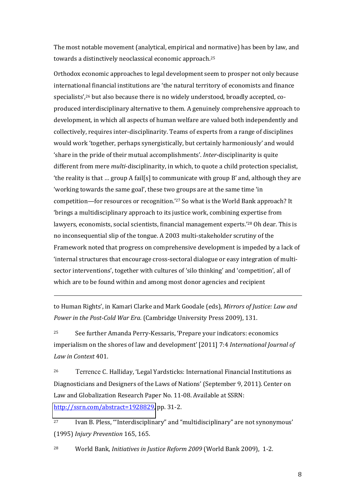The most notable movement (analytical, empirical and normative) has been by law, and towards a distinctively neoclassical economic approach.<sup>25</sup>

Orthodox economic approaches to legal development seem to prosper not only because international financial institutions are 'the natural territory of economists and finance specialists',<sup>26</sup> but also because there is no widely understood, broadly accepted, coproduced interdisciplinary alternative to them. A genuinely comprehensive approach to development, in which all aspects of human welfare are valued both independently and collectively, requires inter-disciplinarity. Teams of experts from a range of disciplines would work 'together, perhaps synergistically, but certainly harmoniously' and would 'share in the pride of their mutual accomplishments'. Inter-disciplinarity is quite different from mere *multi*-disciplinarity, in which, to quote a child protection specialist, 'the reality is that ... group A fail[s] to communicate with group B' and, although they are 'working towards the same goal', these two groups are at the same time 'in competition—for resources or recognition.'27 So what is the World Bank approach? It ╅brings a multidisciplinary approach to its justice work, combining expertise from lawyers, economists, social scientists, financial management experts.<sup>'28</sup> Oh dear. This is no inconsequential slip of the tongue. A 2003 multi-stakeholder scrutiny of the Framework noted that progress on comprehensive development is impeded by a lack of 'internal structures that encourage cross-sectoral dialogue or easy integration of multisector interventions', together with cultures of 'silo thinking' and 'competition', all of which are to be found within and among most donor agencies and recipient

to Human Rights', in Kamari Clarke and Mark Goodale (eds), *Mirrors of Justice: Law and Power in the Post-Cold War Era*. (Cambridge University Press 2009), 131.

 $\overline{\phantom{a}}$ 

<sup>25</sup> See further Amanda Perry-Kessaris, 'Prepare your indicators: economics imperialism on the shores of law and development' [2011] 7:4 International Journal of *Law in Context* 401.

<sup>26</sup> Terrence C. Halliday, 'Legal Yardsticks: International Financial Institutions as Diagnosticians and Designers of the Laws of Nations' (September 9, 2011). Center on Law and Globalization Research Paper No. 11-08. Available at SSRN: [http://ssrn.com/abstract=1928829,](http://ssrn.com/abstract=1928829) pp. 31-2.

<sup>27</sup> Ivan B. Pless, "Interdisciplinary" and "multidisciplinary" are not synonymous' (1995) *Injury Prevention* 165, 165.

28 World Bank, *Initiatives in Justice Reform 2009* (World Bank 2009), 1-2.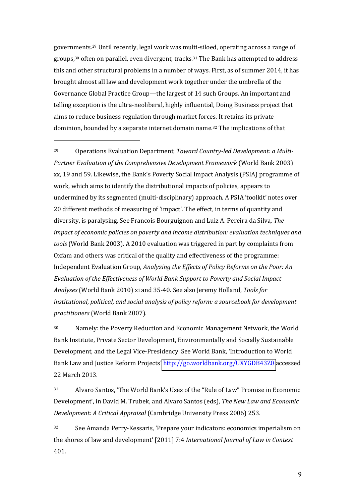governments.29 Until recently, legal work was multi-siloed, operating across a range of groups,30 often on parallel, even divergent, tracks.31 The Bank has attempted to address this and other structural problems in a number of ways. First, as of summer 2014, it has brought almost all law and development work together under the umbrella of the Governance Global Practice Group—the largest of 14 such Groups. An important and telling exception is the ultra-neoliberal, highly influential, Doing Business project that aims to reduce business regulation through market forces. It retains its private dominion, bounded by a separate internet domain name.32 The implications of that

 $\overline{\phantom{a}}$ 

29 Operations Evaluation Department, *Toward Country-led Development: a Multi-Partner Evaluation of the Comprehensive Development Framework* (World Bank 2003) xx, 19 and 59. Likewise, the Bank's Poverty Social Impact Analysis (PSIA) programme of work, which aims to identify the distributional impacts of policies, appears to undermined by its segmented (multi-disciplinary) approach. A PSIA 'toolkit' notes over 20 different methods of measuring of 'impact'. The effect, in terms of quantity and diversity, is paralysing. See Francois Bourguignon and Luiz A. Pereira da Silva, *The impact of economic policies on poverty and income distribution: evaluation techniques and tools* (World Bank 2003). A 2010 evaluation was triggered in part by complaints from Oxfam and others was critical of the quality and effectiveness of the programme: Independent Evaluation Group, *Analyzing the Effects of Policy Reforms on the Poor: An Evaluation of the Effectiveness of World Bank Support to Poverty and Social Impact Analyses* (World Bank 2010) xi and 35-40. See also Jeremy Holland, *Tools for institutional, political, and social analysis of policy reform: a sourcebook for development practitioners* (World Bank 2007).

<sup>30</sup> Namely: the Poverty Reduction and Economic Management Network, the World Bank Institute, Private Sector Development, Environmentally and Socially Sustainable Development, and the Legal Vice-Presidency. See World Bank, 'Introduction to World Bank Law and Justice Reform Projects' <http://go.worldbank.org/UXYGDB43Z0>accessed 22 March 2013.

31 Alvaro Santos, 'The World Bank's Uses of the "Rule of Law" Promise in Economic Development', in David M. Trubek, and Alvaro Santos (eds), *The New Law and Economic Development: A Critical Appraisal* (Cambridge University Press 2006) 253.

32 See Amanda Perry-Kessaris, 'Prepare your indicators: economics imperialism on the shores of law and development' [2011] 7:4 *International Journal of Law in Context* 401.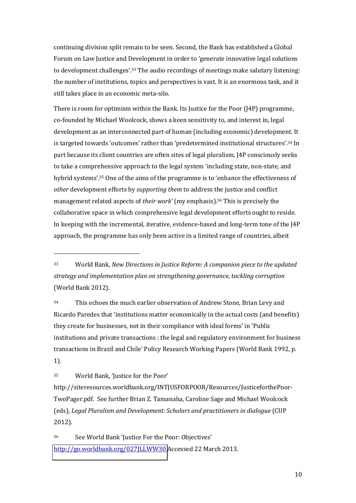continuing division split remain to be seen. Second, the Bank has established a Global Forum on Law Justice and Development in order to 'generate innovative legal solutions to development challenges' $\cdot$ <sup>33</sup> The audio recordings of meetings make salutary listening: the number of institutions, topics and perspectives is vast. It is an enormous task, and it still takes place in an economic meta-silo.

There is room for optimism within the Bank. Its Justice for the Poor (J4P) programme, co-founded by Michael Woolcock, shows a keen sensitivity to, and interest in, legal development as an interconnected part of human (including economic) development. It is targeted towards 'outcomes' rather than 'predetermined institutional structures'.<sup>34</sup> In part because its client countries are often sites of legal pluralism, J4P consciously seeks to take a comprehensive approach to the legal system 'including state, non-state, and hybrid systems'.<sup>35</sup> One of the aims of the programme is to 'enhance the effectiveness of *other* development efforts by *supporting them* to address the justice and conflict management related aspects of *their work'* (my emphasis).<sup>36</sup> This is precisely the collaborative space in which comprehensive legal development efforts ought to reside. In keeping with the incremental, iterative, evidence-based and long-term tone of the J4P approach, the programme has only been active in a limited range of countries, albeit

<sup>34</sup> This echoes the much earlier observation of Andrew Stone, Brian Levy and Ricardo Paredes that 'institutions matter economically in the actual costs (and benefits) they create for businesses, not in their compliance with ideal forms' in 'Public institutions and private transactions : the legal and regulatory environment for business transactions in Brazil and Chile' Policy Research Working Papers (World Bank 1992, p. 1).

<sup>35</sup> World Bank, 'Justice for the Poor'

 $\overline{a}$ 

http://siteresources.worldbank.org/INTJUSFORPOOR/Resources/JusticeforthePoor-TwoPager.pdf. See further Brian Z. Tamanaha, Caroline Sage and Michael Woolcock (eds), *Legal Pluralism and Development: Scholars and practitioners in dialogue* (CUP 2012).

36 See World Bank 'Justice For the Poor: Objectives' <http://go.worldbank.org/027JLLWW30>Accessed 22 March 2013.

<sup>33</sup> World Bank, *New Directions in Justice Reform: A companion piece to the updated strategy and implementation plan on strengthening governance, tackling corruption* (World Bank 2012).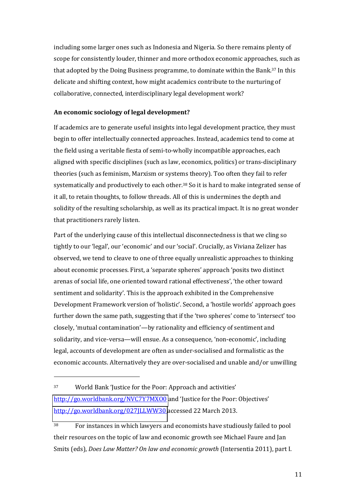including some larger ones such as Indonesia and Nigeria. So there remains plenty of scope for consistently louder, thinner and more orthodox economic approaches, such as that adopted by the Doing Business programme, to dominate within the Bank.37 In this delicate and shifting context, how might academics contribute to the nurturing of collaborative, connected, interdisciplinary legal development work?

#### **An economic sociology of legal development?**

If academics are to generate useful insights into legal development practice, they must begin to offer intellectually connected approaches. Instead, academics tend to come at the field using a veritable fiesta of semi-to-wholly incompatible approaches, each aligned with specific disciplines (such as law, economics, politics) or trans-disciplinary theories (such as feminism, Marxism or systems theory). Too often they fail to refer systematically and productively to each other.38 So it is hard to make integrated sense of it all, to retain thoughts, to follow threads. All of this is undermines the depth and solidity of the resulting scholarship, as well as its practical impact. It is no great wonder that practitioners rarely listen.

Part of the underlying cause of this intellectual disconnectedness is that we cling so tightly to our 'legal', our 'economic' and our 'social'. Crucially, as Viviana Zelizer has observed, we tend to cleave to one of three equally unrealistic approaches to thinking about economic processes. First, a 'separate spheres' approach 'posits two distinct arenas of social life, one oriented toward rational effectiveness', 'the other toward sentiment and solidarity'. This is the approach exhibited in the Comprehensive Development Framework version of 'holistic'. Second, a 'hostile worlds' approach goes further down the same path, suggesting that if the 'two spheres' come to 'intersect' too closely, 'mutual contamination'—by rationality and efficiency of sentiment and solidarity, and vice-versa—will ensue. As a consequence, 'non-economic', including legal, accounts of development are often as under-socialised and formalistic as the economic accounts. Alternatively they are over-socialised and unable and/or unwilling

37 World Bank 'Justice for the Poor: Approach and activities' <http://go.worldbank.org/NVC7Y7MXO0>and 'Justice for the Poor: Objectives' <http://go.worldbank.org/027JLLWW30>accessed 22 March 2013.

 $\overline{a}$ 

<sup>38</sup> For instances in which lawyers and economists have studiously failed to pool their resources on the topic of law and economic growth see Michael Faure and Jan Smits (eds), *Does Law Matter? On law and economic growth* (Intersentia 2011), part I.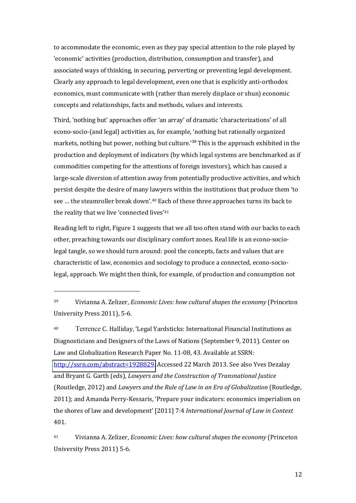to accommodate the economic, even as they pay special attention to the role played by 'economic' activities (production, distribution, consumption and transfer), and associated ways of thinking, in securing, perverting or preventing legal development. Clearly any approach to legal development, even one that is explicitly anti-orthodox economics, must communicate with (rather than merely displace or shun) economic concepts and relationships, facts and methods, values and interests.

Third, 'nothing but' approaches offer 'an array' of dramatic 'characterizations' of all econo-socio-(and legal) activities as, for example, 'nothing but rationally organized markets, nothing but power, nothing but culture.<sup>39</sup> This is the approach exhibited in the production and deployment of indicators (by which legal systems are benchmarked as if commodities competing for the attentions of foreign investors), which has caused a large-scale diversion of attention away from potentially productive activities, and which persist despite the desire of many lawyers within the institutions that produce them 'to see ... the steamroller break down'.<sup>40</sup> Each of these three approaches turns its back to the reality that we live 'connected lives'<sup>41</sup>

Reading left to right, Figure 1 suggests that we all too often stand with our backs to each other, preaching towards our disciplinary comfort zones. Real life is an econo-sociolegal tangle, so we should turn around: pool the concepts, facts and values that are characteristic of law, economics and sociology to produce a connected, econo-sociolegal, approach. We might then think, for example, of production and consumption not

l

40 Terrence C. Halliday, 'Legal Yardsticks: International Financial Institutions as Diagnosticians and Designers of the Laws of Nations (September 9, 2011). Center on Law and Globalization Research Paper No. 11-08, 43. Available at SSRN: [http://ssrn.com/abstract=1928829.](http://ssrn.com/abstract=1928829) Accessed 22 March 2013. See also Yves Dezalay and Bryant G. Garth (eds), *Lawyers and the Construction of Transnational Justice* (Routledge, 2012) and *Lawyers and the Rule of Law in an Era of Globalization* (Routledge, 2011); and Amanda Perry-Kessaris, 'Prepare your indicators: economics imperialism on the shores of law and development' [2011] 7:4 International Journal of Law in Context 401.

<sup>41</sup> Vivianna A. Zelizer, *Economic Lives: how cultural shapes the economy* (Princeton University Press 2011) 5-6.

<sup>39</sup> Vivianna A. Zelizer, *Economic Lives: how cultural shapes the economy* (Princeton University Press 2011), 5-6.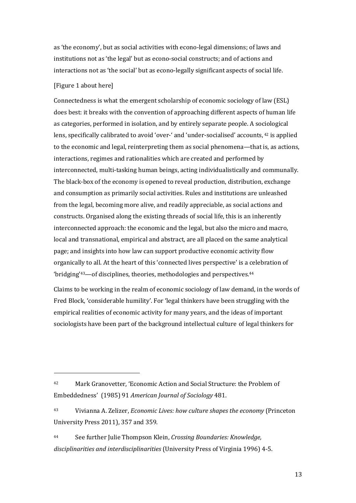as 'the economy', but as social activities with econo-legal dimensions; of laws and institutions not as 'the legal' but as econo-social constructs; and of actions and interactions not as 'the social' but as econo-legally significant aspects of social life.

#### [Figure 1 about here]

 $\overline{a}$ 

Connectedness is what the emergent scholarship of economic sociology of law (ESL) does best: it breaks with the convention of approaching different aspects of human life as categories, performed in isolation, and by entirely separate people. A sociological lens, specifically calibrated to avoid 'over-' and 'under-socialised' accounts, <sup>42</sup> is applied to the economic and legal, reinterpreting them as social phenomena—that is, as actions, interactions, regimes and rationalities which are created and performed by interconnected, multi-tasking human beings, acting individualistically and communally. The black-box of the economy is opened to reveal production, distribution, exchange and consumption as primarily social activities. Rules and institutions are unleashed from the legal, becoming more alive, and readily appreciable, as social actions and constructs. Organised along the existing threads of social life, this is an inherently interconnected approach: the economic and the legal, but also the micro and macro, local and transnational, empirical and abstract, are all placed on the same analytical page; and insights into how law can support productive economic activity flow organically to all. At the heart of this 'connected lives perspective' is a celebration of 'bridging'<sup>43</sup>-of disciplines, theories, methodologies and perspectives.<sup>44</sup>

Claims to be working in the realm of economic sociology of law demand, in the words of Fred Block, 'considerable humility'. For 'legal thinkers have been struggling with the empirical realities of economic activity for many years, and the ideas of important sociologists have been part of the background intellectual culture of legal thinkers for

<sup>44</sup> See further Julie Thompson Klein, *Crossing Boundaries: Knowledge, disciplinarities and interdisciplinarities* (University Press of Virginia 1996) 4-5.

<sup>42</sup> Mark Granovetter, 'Economic Action and Social Structure: the Problem of Embeddedness╆ (1985) 91 *American Journal of Sociology* 481.

<sup>43</sup> Vivianna A. Zelizer, *Economic Lives: how culture shapes the economy* (Princeton University Press 2011), 357 and 359.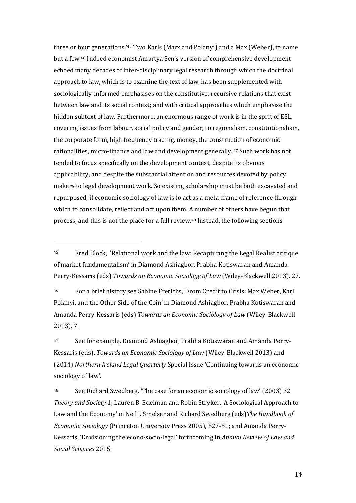three or four generations.<sup>45</sup> Two Karls (Marx and Polanyi) and a Max (Weber), to name but a few.<sup>46</sup> Indeed economist Amartya Sen's version of comprehensive development echoed many decades of inter-disciplinary legal research through which the doctrinal approach to law, which is to examine the text of law, has been supplemented with sociologically-informed emphasises on the constitutive, recursive relations that exist between law and its social context; and with critical approaches which emphasise the hidden subtext of law. Furthermore, an enormous range of work is in the sprit of ESL, covering issues from labour, social policy and gender; to regionalism, constitutionalism, the corporate form, high frequency trading, money, the construction of economic rationalities, micro-finance and law and development generally. <sup>47</sup> Such work has not tended to focus specifically on the development context, despite its obvious applicability, and despite the substantial attention and resources devoted by policy makers to legal development work. So existing scholarship must be both excavated and repurposed, if economic sociology of law is to act as a meta-frame of reference through which to consolidate, reflect and act upon them. A number of others have begun that process, and this is not the place for a full review.48 Instead, the following sections

 $\overline{\phantom{a}}$ 

<sup>46</sup> For a brief history see Sabine Frerichs, 'From Credit to Crisis: Max Weber, Karl Polanyi, and the Other Side of the Coin' in Diamond Ashiagbor, Prabha Kotiswaran and Amanda Perry-Kessaris (eds) *Towards an Economic Sociology of Law* (Wiley-Blackwell 2013), 7.

47 See for example, Diamond Ashiagbor, Prabha Kotiswaran and Amanda Perry-Kessaris (eds), *Towards an Economic Sociology of Law* (Wiley-Blackwell 2013) and (2014) *Northern Ireland Legal Quarterly* Special Issue 'Continuing towards an economic sociology of law'.

<sup>48</sup> See Richard Swedberg, 'The case for an economic sociology of law' (2003) 32 *Theory and Society* 1; Lauren B. Edelman and Robin Stryker, 'A Sociological Approach to Law and the Economy' in Neil J. Smelser and Richard Swedberg (eds) The Handbook of *Economic Sociology* (Princeton University Press 2005), 527-51; and Amanda Perry-Kessaris, 'Envisioning the econo-socio-legal' forthcoming in *Annual Review of Law and Social Sciences* 2015.

<sup>&</sup>lt;sup>45</sup> Fred Block, 'Relational work and the law: Recapturing the Legal Realist critique of market fundamentalism' in Diamond Ashiagbor, Prabha Kotiswaran and Amanda Perry-Kessaris (eds) *Towards an Economic Sociology of Law* (Wiley-Blackwell 2013), 27.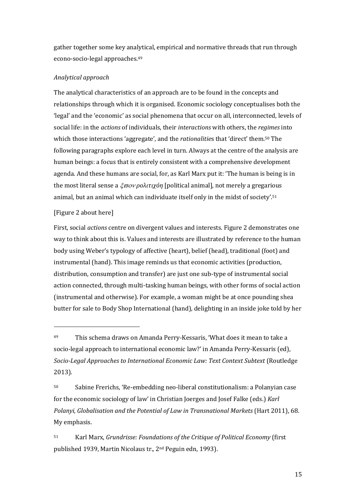gather together some key analytical, empirical and normative threads that run through econo-socio-legal approaches.<sup>49</sup>

#### *Analytical approach*

The analytical characteristics of an approach are to be found in the concepts and relationships through which it is organised. Economic sociology conceptualises both the 'legal' and the 'economic' as social phenomena that occur on all, interconnected, levels of social life: in the *actions* of individuals, their *interactions* with others, the *regimes* into which those interactions 'aggregate', and the *rationalities* that 'direct' them.<sup>50</sup> The following paragraphs explore each level in turn. Always at the centre of the analysis are human beings: a focus that is entirely consistent with a comprehensive development agenda. And these humans are social, for, as Karl Marx put it: 'The human is being is in the most literal sense a *ξωον ρολιτιχόη* [political animal], not merely a gregarious animal, but an animal which can individuate itself only in the midst of society'.<sup>51</sup>

#### [Figure 2 about here]

 $\overline{\phantom{a}}$ 

First, social *actions* centre on divergent values and interests. Figure 2 demonstrates one way to think about this is. Values and interests are illustrated by reference to the human body using Weber's typology of affective (heart), belief (head), traditional (foot) and instrumental (hand). This image reminds us that economic activities (production, distribution, consumption and transfer) are just one sub-type of instrumental social action connected, through multi-tasking human beings, with other forms of social action (instrumental and otherwise). For example, a woman might be at once pounding shea butter for sale to Body Shop International (hand), delighting in an inside joke told by her

50 Sabine Frerichs, 'Re-embedding neo-liberal constitutionalism: a Polanyian case for the economic sociology of law' in Christian Joerges and Josef Falke (eds.) *Karl Polanyi, Globalisation and the Potential of Law in Transnational Markets* (Hart 2011), 68. My emphasis.

<sup>51</sup> Karl Marx, *Grundrisse: Foundations of the Critique of Political Economy* (first published 1939, Martin Nicolaus tr., 2nd Peguin edn, 1993).

<sup>49</sup> This schema draws on Amanda Perry-Kessaris, 'What does it mean to take a socio-legal approach to international economic law?' in Amanda Perry-Kessaris (ed), *Socio-Legal Approaches to International Economic Law: Text Context Subtext* (Routledge 2013).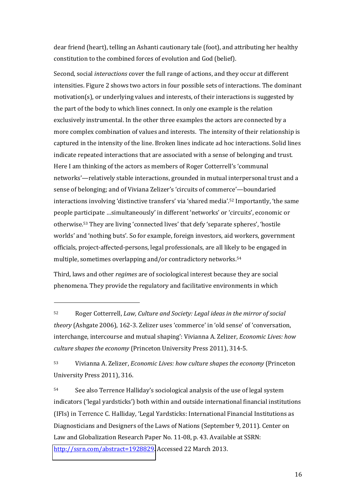dear friend (heart), telling an Ashanti cautionary tale (foot), and attributing her healthy constitution to the combined forces of evolution and God (belief).

Second, social *interactions* cover the full range of actions, and they occur at different intensities. Figure 2 shows two actors in four possible sets of interactions. The dominant motivation(s), or underlying values and interests, of their interactions is suggested by the part of the body to which lines connect. In only one example is the relation exclusively instrumental. In the other three examples the actors are connected by a more complex combination of values and interests. The intensity of their relationship is captured in the intensity of the line. Broken lines indicate ad hoc interactions. Solid lines indicate repeated interactions that are associated with a sense of belonging and trust. Here I am thinking of the actors as members of Roger Cotterrell's 'communal networks'—relatively stable interactions, grounded in mutual interpersonal trust and a sense of belonging; and of Viviana Zelizer's 'circuits of commerce'—boundaried interactions involving 'distinctive transfers' via 'shared media'.<sup>52</sup> Importantly, 'the same people participate ...simultaneously' in different 'networks' or 'circuits', economic or otherwise.<sup>53</sup> They are living 'connected lives' that defy 'separate spheres', 'hostile worlds' and 'nothing buts'. So for example, foreign investors, aid workers, government officials, project-affected-persons, legal professionals, are all likely to be engaged in multiple, sometimes overlapping and/or contradictory networks.<sup>54</sup>

Third, laws and other *regimes* are of sociological interest because they are social phenomena. They provide the regulatory and facilitative environments in which

 $\overline{\phantom{a}}$ 

<sup>52</sup> Roger Cotterrell, *Law, Culture and Society: Legal ideas in the mirror of social theory* (Ashgate 2006), 162-3. Zelizer uses 'commerce' in 'old sense' of 'conversation, interchange, intercourse and mutual shaping': Vivianna A. Zelizer, *Economic Lives: how culture shapes the economy* (Princeton University Press 2011), 314-5.

<sup>53</sup> Vivianna A. Zelizer, *Economic Lives: how culture shapes the economy* (Princeton University Press 2011), 316.

<sup>54</sup> See also Terrence Halliday's sociological analysis of the use of legal system indicators ('legal yardsticks') both within and outside international financial institutions (IFIs) in Terrence C. Halliday, 'Legal Yardsticks: International Financial Institutions as Diagnosticians and Designers of the Laws of Nations (September 9, 2011). Center on Law and Globalization Research Paper No. 11-08, p. 43. Available at SSRN: [http://ssrn.com/abstract=1928829.](http://ssrn.com/abstract=1928829) Accessed 22 March 2013.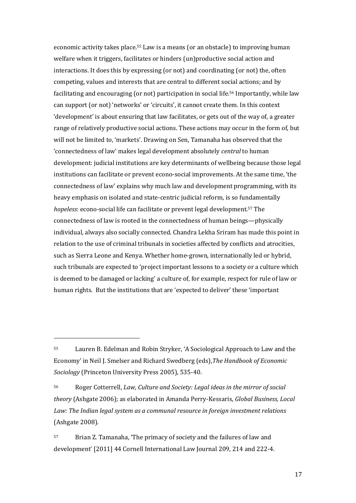economic activity takes place.55 Law is a means (or an obstacle) to improving human welfare when it triggers, facilitates or hinders (un)productive social action and interactions. It does this by expressing (or not) and coordinating (or not) the, often competing, values and interests that are central to different social actions; and by facilitating and encouraging (or not) participation in social life.56 Importantly, while law can support (or not) 'networks' or 'circuits', it cannot create them. In this context 'development' is about ensuring that law facilitates, or gets out of the way of, a greater range of relatively productive social actions. These actions may occur in the form of, but will not be limited to, 'markets'. Drawing on Sen, Tamanaha has observed that the 'connectedness of law' makes legal development absolutely *central* to human development: judicial institutions are key determinants of wellbeing because those legal institutions can facilitate or prevent econo-social improvements. At the same time, 'the connectedness of law' explains why much law and development programming, with its heavy emphasis on isolated and state-centric judicial reform, is so fundamentally *hopeless*: econo-social life can facilitate or prevent legal development.57 The connectedness of law is rooted in the connectedness of human beings—physically individual, always also socially connected. Chandra Lekha Sriram has made this point in relation to the use of criminal tribunals in societies affected by conflicts and atrocities, such as Sierra Leone and Kenya. Whether home-grown, internationally led or hybrid, such tribunals are expected to 'project important lessons to a society or a culture which is deemed to be damaged or lacking' a culture of, for example, respect for rule of law or human rights. But the institutions that are 'expected to deliver' these 'important

l

<sup>55</sup> Lauren B. Edelman and Robin Stryker, 'A Sociological Approach to Law and the Economy' in Neil J. Smelser and Richard Swedberg (eds), The Handbook of Economic *Sociology* (Princeton University Press 2005), 535-40.

<sup>56</sup> Roger Cotterrell, *Law, Culture and Society: Legal ideas in the mirror of social theory* (Ashgate 2006); as elaborated in Amanda Perry-Kessaris, *Global Business, Local Law: The Indian legal system as a communal resource in foreign investment relations* (Ashgate 2008).

<sup>57</sup> Brian Z. Tamanaha, 'The primacy of society and the failures of law and development' [2011] 44 Cornell International Law Journal 209, 214 and 222-4.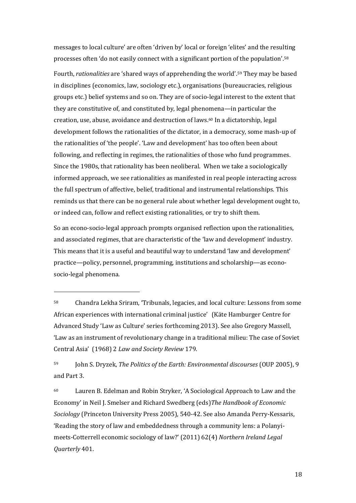messages to local culture' are often 'driven by' local or foreign 'elites' and the resulting processes often 'do not easily connect with a significant portion of the population'. $^{\rm 58}$ 

Fourth, *rationalities* are 'shared ways of apprehending the world'.<sup>59</sup> They may be based in disciplines (economics, law, sociology etc.), organisations (bureaucracies, religious groups etc.) belief systems and so on. They are of socio-legal interest to the extent that they are constitutive of, and constituted by, legal phenomena—in particular the creation, use, abuse, avoidance and destruction of laws.60 In a dictatorship, legal development follows the rationalities of the dictator, in a democracy, some mash-up of the rationalities of 'the people'. 'Law and development' has too often been about following, and reflecting in regimes, the rationalities of those who fund programmes. Since the 1980s, that rationality has been neoliberal. When we take a sociologically informed approach, we see rationalities as manifested in real people interacting across the full spectrum of affective, belief, traditional and instrumental relationships. This reminds us that there can be no general rule about whether legal development ought to, or indeed can, follow and reflect existing rationalities, or try to shift them.

So an econo-socio-legal approach prompts organised reflection upon the rationalities, and associated regimes, that are characteristic of the 'law and development' industry. This means that it is a useful and beautiful way to understand 'law and development' practice—policy, personnel, programming, institutions and scholarship—as econosocio-legal phenomena.

 $\overline{\phantom{a}}$ 

<sup>59</sup> John S. Dryzek, *The Politics of the Earth: Environmental discourses* (OUP 2005), 9 and Part 3.

<sup>60</sup> Lauren B. Edelman and Robin Stryker, ╅A Sociological Approach to Law and the Economy' in Neil J. Smelser and Richard Swedberg (eds) The Handbook of Economic *Sociology* (Princeton University Press 2005), 540-42. See also Amanda Perry-Kessaris, Reading the story of law and embeddedness through a community lens: a Polanyimeets-Cotterrell economic sociology of law?' (2011) 62(4) Northern Ireland Legal *Quarterly* 401.

<sup>58</sup> Chandra Lekha Sriram, 'Tribunals, legacies, and local culture: Lessons from some African experiences with international criminal justice' (Käte Hamburger Centre for Advanced Study 'Law as Culture' series forthcoming 2013). See also Gregory Massell, 'Law as an instrument of revolutionary change in a traditional milieu: The case of Soviet Central Asia╆ (1968) 2 *Law and Society Review* 179.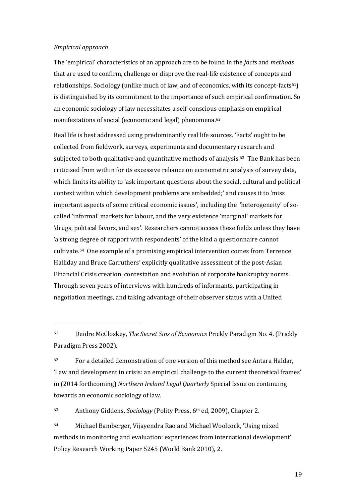#### *Empirical approach*

 $\overline{\phantom{a}}$ 

The 'empirical' characteristics of an approach are to be found in the *facts* and *methods* that are used to confirm, challenge or disprove the real-life existence of concepts and relationships. Sociology (unlike much of law, and of economics, with its concept-facts<sup>61</sup>) is distinguished by its commitment to the importance of such empirical confirmation. So an economic sociology of law necessitates a self-conscious emphasis on empirical manifestations of social (economic and legal) phenomena.<sup>62</sup>

Real life is best addressed using predominantly real life sources. 'Facts' ought to be collected from fieldwork, surveys, experiments and documentary research and subjected to both qualitative and quantitative methods of analysis.63 The Bank has been criticised from within for its excessive reliance on econometric analysis of survey data, which limits its ability to 'ask important questions about the social, cultural and political context within which development problems are embedded;' and causes it to 'miss important aspects of some critical economic issues', including the 'heterogeneity' of socalled 'informal' markets for labour, and the very existence 'marginal' markets for 'drugs, political favors, and sex'. Researchers cannot access these fields unless they have 'a strong degree of rapport with respondents' of the kind a questionnaire cannot cultivate.64 One example of a promising empirical intervention comes from Terrence Halliday and Bruce Carruthers' explicitly qualitative assessment of the post-Asian Financial Crisis creation, contestation and evolution of corporate bankruptcy norms. Through seven years of interviews with hundreds of informants, participating in negotiation meetings, and taking advantage of their observer status with a United

<sup>63</sup> Anthony Giddens, *Sociology* (Polity Press, 6th ed, 2009), Chapter 2.

64 Michael Bamberger, Vijayendra Rao and Michael Woolcock, 'Using mixed methods in monitoring and evaluation: experiences from international development' Policy Research Working Paper 5245 (World Bank 2010), 2.

<sup>61</sup> Deidre McCloskey, *The Secret Sins of Economics* Prickly Paradigm No. 4. (Prickly Paradigm Press 2002).

 $62$  For a detailed demonstration of one version of this method see Antara Haldar, 'Law and development in crisis: an empirical challenge to the current theoretical frames' in (2014 forthcoming) *Northern Ireland Legal Quarterly* Special Issue on continuing towards an economic sociology of law.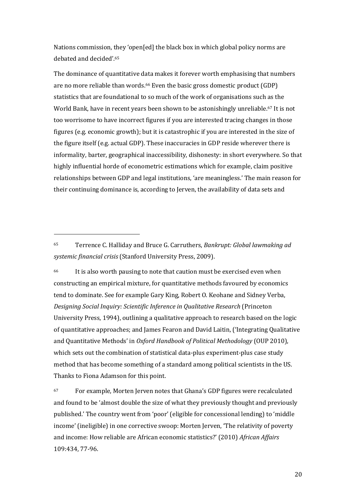Nations commission, they 'open [ed] the black box in which global policy norms are debated and decided'.<sup>65</sup>

The dominance of quantitative data makes it forever worth emphasising that numbers are no more reliable than words.66 Even the basic gross domestic product (GDP) statistics that are foundational to so much of the work of organisations such as the World Bank, have in recent years been shown to be astonishingly unreliable.<sup>67</sup> It is not too worrisome to have incorrect figures if you are interested tracing changes in those figures (e.g. economic growth); but it is catastrophic if you are interested in the size of the figure itself (e.g. actual GDP). These inaccuracies in GDP reside wherever there is informality, barter, geographical inaccessibility, dishonesty: in short everywhere. So that highly influential horde of econometric estimations which for example, claim positive relationships between GDP and legal institutions, 'are meaningless.' The main reason for their continuing dominance is, according to Jerven, the availability of data sets and

<sup>65</sup> Terrence C. Halliday and Bruce G. Carruthers, *Bankrupt: Global lawmaking ad systemic financial crisis* (Stanford University Press, 2009).

 $\overline{\phantom{a}}$ 

<sup>66</sup> It is also worth pausing to note that caution must be exercised even when constructing an empirical mixture, for quantitative methods favoured by economics tend to dominate. See for example Gary King, Robert O. Keohane and Sidney Verba, *Designing Social Inquiry: Scientific Inference in Qualitative Research* (Princeton University Press, 1994), outlining a qualitative approach to research based on the logic of quantitative approaches; and James Fearon and David Laitin, ('Integrating Qualitative and Quantitative Methods' in *Oxford Handbook of Political Methodology* (OUP 2010), which sets out the combination of statistical data-plus experiment-plus case study method that has become something of a standard among political scientists in the US. Thanks to Fiona Adamson for this point.

 $67$  For example, Morten Jerven notes that Ghana's GDP figures were recalculated and found to be 'almost double the size of what they previously thought and previously published.' The country went from 'poor' (eligible for concessional lending) to 'middle income' (ineligible) in one corrective swoop: Morten Jerven, 'The relativity of poverty and income: How reliable are African economic statistics?' (2010) African Affairs 109:434, 77-96.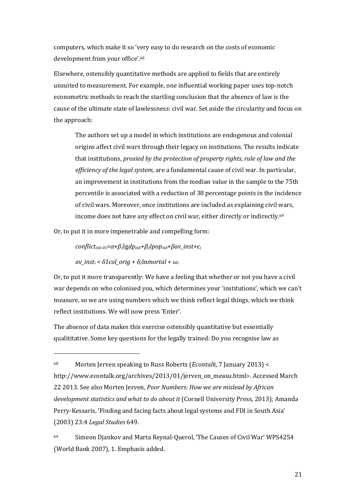computers, which make it so 'very easy to do research on the costs of economic development from your office'.<sup>68</sup>

Elsewhere, ostensibly quantitative methods are applied to fields that are entirely unsuited to measurement. For example, one influential working paper uses top-notch econometric methods to reach the startling conclusion that the absence of law is the cause of the ultimate state of lawlessness: civil war. Set aside the circularity and focus on the approach:

The authors set up a model in which institutions are endogenous and colonial origins affect civil wars through their legacy on institutions. The results indicate that institutions, *proxied by the protection of property rights, rule of law and the efficiency of the legal system*, are a fundamental cause of civil war. In particular, an improvement in institutions from the median value in the sample to the 75th percentile is associated with a reduction of 38 percentage points in the incidence of civil wars. Moreover, once institutions are included as explaining civil wars, income does not have any effect on civil war, either directly or indirectly.<sup>69</sup>

Or, to put it in more impenetrable and compelling form:

 $conflict<sub>i60-05</sub>=\alpha+\beta_1\lg dp<sub>i60</sub>+\beta_2\lg dp<sub>i60</sub>+\beta av_inst+\varepsilon_i$ 

 $av\_inst_i = \delta1col~orig + \delta_2$ lnmortal +  $\omega_i$ 

 $\overline{\phantom{a}}$ 

Or, to put it more transparently: We have a feeling that whether or not you have a civil war depends on who colonised you, which determines your 'institutions', which we can't measure, so we are using numbers which we think reflect legal things, which we think reflect institutions. We will now press 'Enter'.

The absence of data makes this exercise ostensibly quantitative but essentially qualititative. Some key questions for the legally trained: Do you recognise law as

69 Simeon Djankov and Marta Reynal-Querol, 'The Causes of Civil War' WPS4254 (World Bank 2007), 1. Emphasis added.

<sup>68</sup> Morten Jerven speaking to Russ Roberts (*Econtalk*, 7 January 2013) < http://www.econtalk.org/archives/2013/01/jerven\_on\_measu.html>. Accessed March 22 2013. See also Morten Jerven, *Poor Numbers: How we are mislead by African development statistics and what to do about it* (Cornell University Press, 2013); Amanda Perry-Kessaris, 'Finding and facing facts about legal systems and FDI in South Asia' (2003) 23:4 *Legal Studies* 649.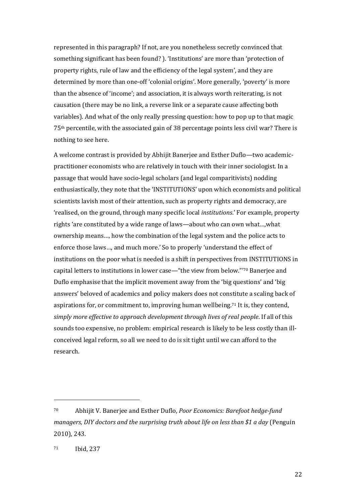represented in this paragraph? If not, are you nonetheless secretly convinced that something significant has been found? ). 'Institutions' are more than 'protection of property rights, rule of law and the efficiency of the legal system', and they are determined by more than one-off 'colonial origins'. More generally, 'poverty' is more than the absence of 'income'; and association, it is always worth reiterating, is not causation (there may be no link, a reverse link or a separate cause affecting both variables). And what of the only really pressing question: how to pop up to that magic 75th percentile, with the associated gain of 38 percentage points less civil war? There is nothing to see here.

A welcome contrast is provided by Abhijit Banerjee and Esther Duflo-two academicpractitioner economists who are relatively in touch with their inner sociologist. In a passage that would have socio-legal scholars (and legal comparitivists) nodding enthusiastically, they note that the 'INSTITUTIONS' upon which economists and political scientists lavish most of their attention, such as property rights and democracy, are 'realised, on the ground, through many specific local *institutions*.' For example, property rights 'are constituted by a wide range of laws—about who can own what...,what ownership means..., how the combination of the legal system and the police acts to enforce those laws..., and much more.' So to properly 'understand the effect of institutions on the poor what is needed is a shift in perspectives from INSTITUTIONS in capital letters to institutions in lower case—"the view from below."<sup>70</sup> Banerjee and Duflo emphasise that the implicit movement away from the 'big questions' and 'big answers' beloved of academics and policy makers does not constitute a scaling back of aspirations for, or commitment to, improving human wellbeing.71 It is, they contend, *simply more effective to approach development through lives of real people*. If all of this sounds too expensive, no problem: empirical research is likely to be less costly than illconceived legal reform, so all we need to do is sit tight until we can afford to the research.

l

<sup>70</sup> Abhijit V. Banerjee and Esther Duflo, *Poor Economics: Barefoot hedge-fund managers, DIY doctors and the surprising truth about life on less than \$1 a day* (Penguin 2010), 243.

<sup>71</sup> Ibid, 237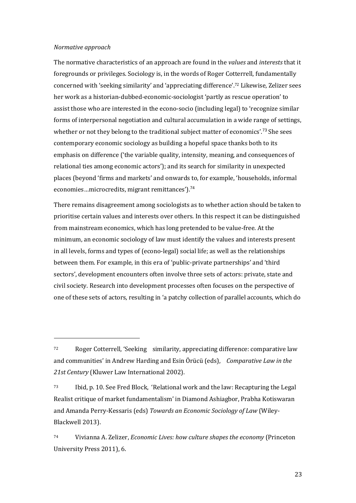#### *Normative approach*

l

The normative characteristics of an approach are found in the *values* and *interests* that it foregrounds or privileges. Sociology is, in the words of Roger Cotterrell, fundamentally concerned with 'seeking similarity' and 'appreciating difference'.<sup>72</sup> Likewise, Zelizer sees her work as a historian-dubbed-economic-sociologist 'partly as rescue operation' to assist those who are interested in the econo-socio (including legal) to 'recognize similar forms of interpersonal negotiation and cultural accumulation in a wide range of settings, whether or not they belong to the traditional subject matter of economics'.<sup>73</sup> She sees contemporary economic sociology as building a hopeful space thanks both to its emphasis on difference ('the variable quality, intensity, meaning, and consequences of relational ties among economic actors'); and its search for similarity in unexpected places (beyond 'firms and markets' and onwards to, for example, 'households, informal economies...microcredits, migrant remittances').<sup>74</sup>

There remains disagreement among sociologists as to whether action should be taken to prioritise certain values and interests over others. In this respect it can be distinguished from mainstream economics, which has long pretended to be value-free. At the minimum, an economic sociology of law must identify the values and interests present in all levels, forms and types of (econo-legal) social life; as well as the relationships between them. For example, in this era of 'public-private partnerships' and 'third sectors', development encounters often involve three sets of actors: private, state and civil society. Research into development processes often focuses on the perspective of one of these sets of actors, resulting in 'a patchy collection of parallel accounts, which do

<sup>72</sup> Roger Cotterrell, 'Seeking similarity, appreciating difference: comparative law and communities' in Andrew Harding and Esin Örücü (eds), *Comparative Law in the 21st Century* (Kluwer Law International 2002).

 $73$  Ibid, p. 10. See Fred Block, 'Relational work and the law: Recapturing the Legal Realist critique of market fundamentalism' in Diamond Ashiagbor, Prabha Kotiswaran and Amanda Perry-Kessaris (eds) *Towards an Economic Sociology of Law* (Wiley-Blackwell 2013).

<sup>74</sup> Vivianna A. Zelizer, *Economic Lives: how culture shapes the economy* (Princeton University Press 2011), 6.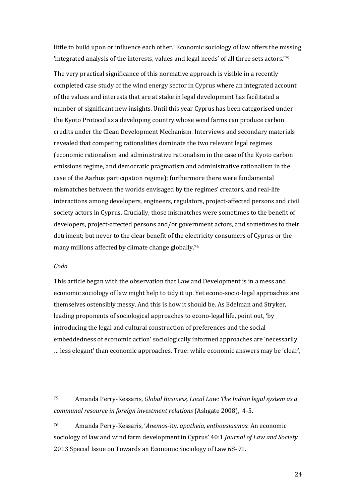little to build upon or influence each other.' Economic sociology of law offers the missing 'integrated analysis of the interests, values and legal needs' of all three sets actors.'75

The very practical significance of this normative approach is visible in a recently completed case study of the wind energy sector in Cyprus where an integrated account of the values and interests that are at stake in legal development has facilitated a number of significant new insights. Until this year Cyprus has been categorised under the Kyoto Protocol as a developing country whose wind farms can produce carbon credits under the Clean Development Mechanism. Interviews and secondary materials revealed that competing rationalities dominate the two relevant legal regimes (economic rationalism and administrative rationalism in the case of the Kyoto carbon emissions regime, and democratic pragmatism and administrative rationalism in the case of the Aarhus participation regime); furthermore there were fundamental mismatches between the worlds envisaged by the regimes' creators, and real-life interactions among developers, engineers, regulators, project-affected persons and civil society actors in Cyprus. Crucially, those mismatches were sometimes to the benefit of developers, project-affected persons and/or government actors, and sometimes to their detriment; but never to the clear benefit of the electricity consumers of Cyprus or the many millions affected by climate change globally.<sup>76</sup>

#### *Coda*

 $\overline{\phantom{a}}$ 

This article began with the observation that Law and Development is in a mess and economic sociology of law might help to tidy it up. Yet econo-socio-legal approaches are themselves ostensibly messy. And this is how it should be. As Edelman and Stryker, leading proponents of sociological approaches to econo-legal life, point out, 'by introducing the legal and cultural construction of preferences and the social embeddedness of economic action' sociologically informed approaches are 'necessarily ... less elegant' than economic approaches. True: while economic answers may be 'clear',

<sup>76</sup> Amanda Perry-Kessaris, ╅*Anemos*-ity*, apatheia, enthousiasmos*: An economic sociology of law and wind farm development in Cyprus' 40:1 *Journal of Law and Society* 2013 Special Issue on Towards an Economic Sociology of Law 68-91.

<sup>75</sup> Amanda Perry-Kessaris, *Global Business, Local Law: The Indian legal system as a communal resource in foreign investment relations* (Ashgate 2008), 4-5.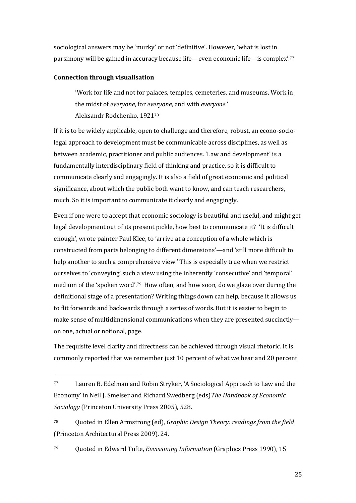sociological answers may be 'murky' or not 'definitive'. However, 'what is lost in parsimony will be gained in accuracy because life—even economic life—is complex'.77

#### **Connection through visualisation**

 $\overline{a}$ 

'Work for life and not for palaces, temples, cemeteries, and museums. Work in the midst of *everyone*, for *everyone*, and with *everyone*.' Aleksandr Rodchenko, 1921<sup>78</sup>

If it is to be widely applicable, open to challenge and therefore, robust, an econo-sociolegal approach to development must be communicable across disciplines, as well as between academic, practitioner and public audiences. 'Law and development' is a fundamentally interdisciplinary field of thinking and practice, so it is difficult to communicate clearly and engagingly. It is also a field of great economic and political significance, about which the public both want to know, and can teach researchers, much. So it is important to communicate it clearly and engagingly.

Even if one were to accept that economic sociology is beautiful and useful, and might get legal development out of its present pickle, how best to communicate it? 'It is difficult enough', wrote painter Paul Klee, to 'arrive at a conception of a whole which is constructed from parts belonging to different dimensions'—and 'still more difficult to help another to such a comprehensive view.' This is especially true when we restrict ourselves to 'conveying' such a view using the inherently 'consecutive' and 'temporal' medium of the 'spoken word'.<sup>79</sup> How often, and how soon, do we glaze over during the definitional stage of a presentation? Writing things down can help, because it allows us to flit forwards and backwards through a series of words. But it is easier to begin to make sense of multidimensional communications when they are presented succinctly on one, actual or notional, page.

The requisite level clarity and directness can be achieved through visual rhetoric. It is commonly reported that we remember just 10 percent of what we hear and 20 percent

<sup>77</sup> Lauren B. Edelman and Robin Stryker, 'A Sociological Approach to Law and the Economy' in Neil J. Smelser and Richard Swedberg (eds) The Handbook of Economic *Sociology* (Princeton University Press 2005), 528.

<sup>78</sup> Quoted in Ellen Armstrong (ed), *Graphic Design Theory: readings from the field* (Princeton Architectural Press 2009), 24.

<sup>79</sup> Quoted in Edward Tufte, *Envisioning Information* (Graphics Press 1990), 15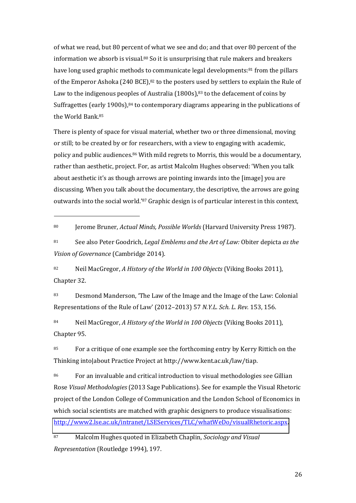of what we read, but 80 percent of what we see and do; and that over 80 percent of the information we absorb is visual.<sup>80</sup> So it is unsurprising that rule makers and breakers have long used graphic methods to communicate legal developments:<sup>81</sup> from the pillars of the Emperor Ashoka (240 BCE), $82$  to the posters used by settlers to explain the Rule of Law to the indigenous peoples of Australia (1800s),<sup>83</sup> to the defacement of coins by Suffragettes (early 1900s), $84$  to contemporary diagrams appearing in the publications of the World Bank.<sup>85</sup>

There is plenty of space for visual material, whether two or three dimensional, moving or still; to be created by or for researchers, with a view to engaging with academic, policy and public audiences.86 With mild regrets to Morris, this would be a documentary, rather than aesthetic, project. For, as artist Malcolm Hughes observed: 'When you talk about aesthetic it's as though arrows are pointing inwards into the [image] you are discussing. When you talk about the documentary, the descriptive, the arrows are going outwards into the social world.'87 Graphic design is of particular interest in this context,

<sup>80</sup> Jerome Bruner, *Actual Minds, Possible Worlds* (Harvard University Press 1987).

 $\overline{\phantom{a}}$ 

<sup>81</sup> See also Peter Goodrich, *Legal Emblems and the Art of Law:* Obiter depicta *as the Vision of Governance* (Cambridge 2014).

<sup>82</sup> Neil MacGregor, *A History of the World in 100 Objects* (Viking Books 2011), Chapter 32.

83 Desmond Manderson, 'The Law of the Image and the Image of the Law: Colonial Representations of the Rule of Law' (2012–2013) 57 *N.Y.L. Sch. L. Rev.* 153, 156.

<sup>84</sup> Neil MacGregor, *A History of the World in 100 Objects* (Viking Books 2011), Chapter 95.

85 For a critique of one example see the forthcoming entry by Kerry Rittich on the Thinking into|about Practice Project at http://www.kent.ac.uk/law/tiap.

86 For an invaluable and critical introduction to visual methodologies see Gillian Rose *Visual Methodologies* (2013 Sage Publications). See for example the Visual Rhetoric project of the London College of Communication and the London School of Economics in which social scientists are matched with graphic designers to produce visualisations: [http://www2.lse.ac.uk/intranet/LSEServices/TLC/whatWeDo/visualRhetoric.aspx.](http://www2.lse.ac.uk/intranet/LSEServices/TLC/whatWeDo/visualRhetoric.aspx)

<sup>87</sup> Malcolm Hughes quoted in Elizabeth Chaplin, *Sociology and Visual Representation* (Routledge 1994), 197.

26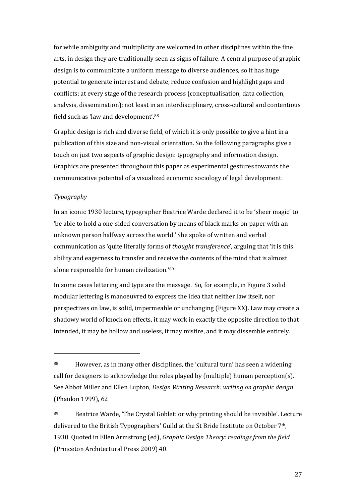for while ambiguity and multiplicity are welcomed in other disciplines within the fine arts, in design they are traditionally seen as signs of failure. A central purpose of graphic design is to communicate a uniform message to diverse audiences, so it has huge potential to generate interest and debate, reduce confusion and highlight gaps and conflicts; at every stage of the research process (conceptualisation, data collection, analysis, dissemination); not least in an interdisciplinary, cross-cultural and contentious field such as 'law and development'.88

Graphic design is rich and diverse field, of which it is only possible to give a hint in a publication of this size and non-visual orientation. So the following paragraphs give a touch on just two aspects of graphic design: typography and information design. Graphics are presented throughout this paper as experimental gestures towards the communicative potential of a visualized economic sociology of legal development.

#### *Typography*

 $\overline{\phantom{a}}$ 

In an iconic 1930 lecture, typographer Beatrice Warde declared it to be 'sheer magic' to 'be able to hold a one-sided conversation by means of black marks on paper with an unknown person halfway across the world.' She spoke of written and verbal communication as 'quite literally forms of *thought transference*', arguing that 'it is this ability and eagerness to transfer and receive the contents of the mind that is almost alone responsible for human civilization.'89

In some cases lettering and type are the message. So, for example, in Figure 3 solid modular lettering is manoeuvred to express the idea that neither law itself, nor perspectives on law, is solid, impermeable or unchanging (Figure XX). Law may create a shadowy world of knock on effects, it may work in exactly the opposite direction to that intended, it may be hollow and useless, it may misfire, and it may dissemble entirely.

 $88$  However, as in many other disciplines, the 'cultural turn' has seen a widening call for designers to acknowledge the roles played by (multiple) human perception(s). See Abbot Miller and Ellen Lupton, *Design Writing Research: writing on graphic design* (Phaidon 1999), 62

<sup>89</sup> Beatrice Warde, 'The Crystal Goblet: or why printing should be invisible'. Lecture delivered to the British Typographers' Guild at the St Bride Institute on October 7th, 1930. Quoted in Ellen Armstrong (ed), *Graphic Design Theory: readings from the field* (Princeton Architectural Press 2009) 40.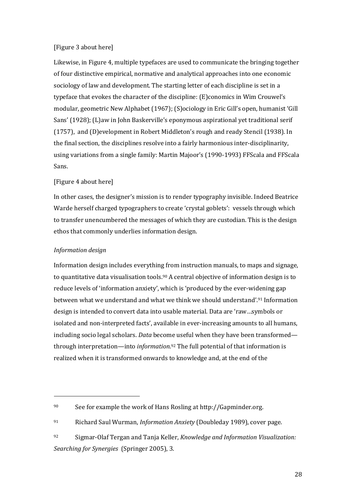#### [Figure 3 about here]

Likewise, in Figure 4, multiple typefaces are used to communicate the bringing together of four distinctive empirical, normative and analytical approaches into one economic sociology of law and development. The starting letter of each discipline is set in a typeface that evokes the character of the discipline: (E)conomics in Wim Crouwel's modular, geometric New Alphabet (1967); (S)ociology in Eric Gill's open, humanist 'Gill Sans' (1928); (L)aw in John Baskerville's eponymous aspirational yet traditional serif (1757), and (D)evelopment in Robert Middleton's rough and ready Stencil (1938). In the final section, the disciplines resolve into a fairly harmonious inter-disciplinarity, using variations from a single family: Martin Majoor's (1990-1993) FFScala and FFScala Sans.

#### [Figure 4 about here]

In other cases, the designer's mission is to render typography invisible. Indeed Beatrice Warde herself charged typographers to create 'crystal goblets': vessels through which to transfer unencumbered the messages of which they are custodian. This is the design ethos that commonly underlies information design.

#### *Information design*

l

Information design includes everything from instruction manuals, to maps and signage, to quantitative data visualisation tools.90 A central objective of information design is to reduce levels of 'information anxiety', which is 'produced by the ever-widening gap between what we understand and what we think we should understand'.<sup>91</sup> Information design is intended to convert data into usable material. Data are 'raw...symbols or isolated and non-interpreted facts', available in ever-increasing amounts to all humans, including socio legal scholars. *Data* become useful when they have been transformed through interpretation—into *information*.<sup>92</sup> The full potential of that information is realized when it is transformed onwards to knowledge and, at the end of the

<sup>90</sup> See for example the work of Hans Rosling at http://Gapminder.org.

<sup>91</sup> Richard Saul Wurman, *Information Anxiety* (Doubleday 1989), cover page.

<sup>92</sup> Sigmar-Olaf Tergan and Tanja Keller, *Knowledge and Information Visualization: Searching for Synergies* (Springer 2005), 3.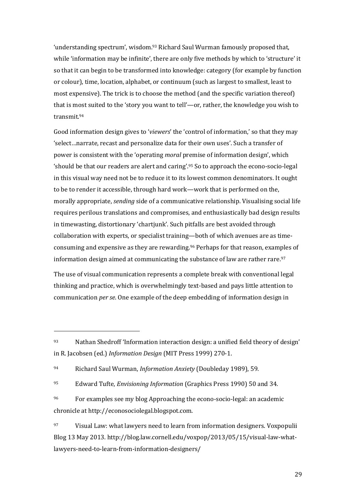'understanding spectrum', wisdom.<sup>93</sup> Richard Saul Wurman famously proposed that, while 'information may be infinite', there are only five methods by which to 'structure' it so that it can begin to be transformed into knowledge: category (for example by function or colour), time, location, alphabet, or continuum (such as largest to smallest, least to most expensive). The trick is to choose the method (and the specific variation thereof) that is most suited to the 'story you want to tell'—or, rather, the knowledge you wish to transmit.<sup>94</sup>

Good information design gives to 'viewers' the 'control of information,' so that they may 'select...narrate, recast and personalize data for their own uses'. Such a transfer of power is consistent with the 'operating *moral* premise of information design', which 'should be that our readers are alert and caring'.<sup>95</sup> So to approach the econo-socio-legal in this visual way need not be to reduce it to its lowest common denominators. It ought to be to render it accessible, through hard work—work that is performed on the, morally appropriate, *sending* side of a communicative relationship. Visualising social life requires perilous translations and compromises, and enthusiastically bad design results in timewasting, distortionary 'chartjunk'. Such pitfalls are best avoided through collaboration with experts, or specialist training—both of which avenues are as timeconsuming and expensive as they are rewarding.96 Perhaps for that reason, examples of information design aimed at communicating the substance of law are rather rare.<sup>97</sup>

The use of visual communication represents a complete break with conventional legal thinking and practice, which is overwhelmingly text-based and pays little attention to communication *per se*. One example of the deep embedding of information design in

 $\overline{a}$ 

<sup>93</sup> Nathan Shedroff 'Information interaction design: a unified field theory of design' in R. Jacobsen (ed.) *Information Design* (MIT Press 1999) 270-1.

<sup>94</sup> Richard Saul Wurman, *Information Anxiety* (Doubleday 1989), 59.

<sup>95</sup> Edward Tufte, *Envisioning Information* (Graphics Press 1990) 50 and 34.

<sup>96</sup> For examples see my blog Approaching the econo-socio-legal: an academic chronicle at http://econosociolegal.blogspot.com.

<sup>97</sup> Visual Law: what lawyers need to learn from information designers. Voxpopulii Blog 13 May 2013. http://blog.law.cornell.edu/voxpop/2013/05/15/visual-law-whatlawyers-need-to-learn-from-information-designers/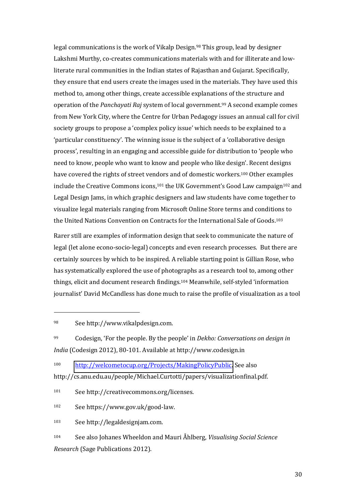legal communications is the work of Vikalp Design.98 This group, lead by designer Lakshmi Murthy, co-creates communications materials with and for illiterate and lowliterate rural communities in the Indian states of Rajasthan and Gujarat. Specifically, they ensure that end users create the images used in the materials. They have used this method to, among other things, create accessible explanations of the structure and operation of the *Panchayati Raj* system of local government.99 A second example comes from New York City, where the Centre for Urban Pedagogy issues an annual call for civil society groups to propose a 'complex policy issue' which needs to be explained to a  $'$ particular constituency'. The winning issue is the subject of a  $'$ collaborative design process', resulting in an engaging and accessible guide for distribution to 'people who need to know, people who want to know and people who like design'. Recent designs have covered the rights of street vendors and of domestic workers.100 Other examples include the Creative Commons icons,<sup>101</sup> the UK Government's Good Law campaign<sup>102</sup> and Legal Design Jams, in which graphic designers and law students have come together to visualize legal materials ranging from Microsoft Online Store terms and conditions to the United Nations Convention on Contracts for the International Sale of Goods.<sup>103</sup>

Rarer still are examples of information design that seek to communicate the nature of legal (let alone econo-socio-legal) concepts and even research processes. But there are certainly sources by which to be inspired. A reliable starting point is Gillian Rose, who has systematically explored the use of photographs as a research tool to, among other things, elicit and document research findings.<sup>104</sup> Meanwhile, self-styled 'information journalist' David McCandless has done much to raise the profile of visualization as a tool

 $\overline{\phantom{a}}$ 

<sup>102</sup> See https://www.gov.uk/good-law.

<sup>103</sup> See http://legaldesignjam.com.

<sup>98</sup> See http://www.vikalpdesign.com.

<sup>99</sup> Codesign, 'For the people. By the people' in *Dekho: Conversations on design in India* (Codesign 2012), 80-101. Available at http://www.codesign.in

<sup>100</sup> [http://welcometocup.org/Projects/MakingPolicyPublic.](http://welcometocup.org/Projects/MakingPolicyPublic) See also http://cs.anu.edu.au/people/Michael.Curtotti/papers/visualizationfinal.pdf.

<sup>101</sup> See http://creativecommons.org/licenses.

<sup>104</sup> See also Johanes Wheeldon and Mauri Åhlberg, *Visualising Social Science Research* (Sage Publications 2012).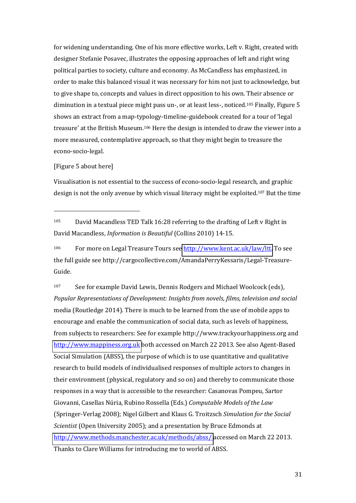for widening understanding. One of his more effective works, Left v. Right, created with designer Stefanie Posavec, illustrates the opposing approaches of left and right wing political parties to society, culture and economy. As McCandless has emphasized, in order to make this balanced visual it was necessary for him not just to acknowledge, but to give shape to, concepts and values in direct opposition to his own. Their absence or diminution in a textual piece might pass un-, or at least less-, noticed.105 Finally, Figure 5 shows an extract from a map-typology-timeline-guidebook created for a tour of 'legal treasure' at the British Museum.<sup>106</sup> Here the design is intended to draw the viewer into a more measured, contemplative approach, so that they might begin to treasure the econo-socio-legal.

#### [Figure 5 about here]

 $\overline{\phantom{a}}$ 

Visualisation is not essential to the success of econo-socio-legal research, and graphic design is not the only avenue by which visual literacy might be exploited.107 But the time

<sup>105</sup> David Macandless TED Talk 16:28 referring to the drafting of Left v Right in David Macandless, *Information is Beautiful* (Collins 2010) 14-15.

<sup>106</sup> For more on Legal Treasure Tours see [http://www.kent.ac.uk/law/ltt.](http://www.kent.ac.uk/law/ltt) To see the full guide see http://cargocollective.com/AmandaPerryKessaris/Legal-Treasure-Guide.

<sup>107</sup> See for example David Lewis, Dennis Rodgers and Michael Woolcock (eds), *Popular Representations of Development: Insights from novels, films, television and social*  media (Routledge 2014). There is much to be learned from the use of mobile apps to encourage and enable the communication of social data, such as levels of happiness, from subjects to researchers: See for example http://www.trackyourhappiness.org and [http://www.mappiness.org.uk](http://www.mappiness.org.uk/) both accessed on March 22 2013. See also Agent-Based Social Simulation (ABSS), the purpose of which is to use quantitative and qualitative research to build models of individualised responses of multiple actors to changes in their environment (physical, regulatory and so on) and thereby to communicate those responses in a way that is accessible to the researcher: Casanovas Pompeu, Sartor Giovanni, Casellas N˙ria, Rubino Rossella (Eds.) *Computable Models of the Law* (Springer-Verlag 2008); Nigel Gilbert and Klaus G. Troitzsch *Simulation for the Social Scientist* (Open University 2005); and a presentation by Bruce Edmonds at <http://www.methods.manchester.ac.uk/methods/abss/>accessed on March 22 2013. Thanks to Clare Williams for introducing me to world of ABSS.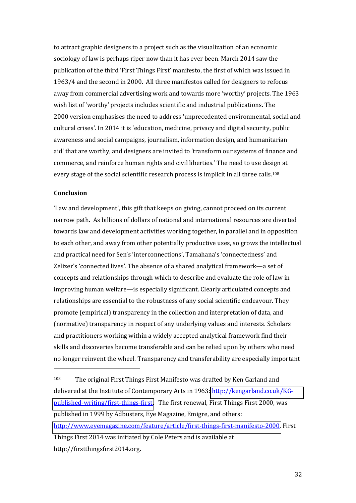to attract graphic designers to a project such as the visualization of an economic sociology of law is perhaps riper now than it has ever been. March 2014 saw the publication of the third 'First Things First' manifesto, the first of which was issued in 1963/4 and the second in 2000. All three manifestos called for designers to refocus away from commercial advertising work and towards more 'worthy' projects. The 1963 wish list of 'worthy' projects includes scientific and industrial publications. The 2000 version emphasises the need to address 'unprecedented environmental, social and cultural crises'. In 2014 it is 'education, medicine, privacy and digital security, public awareness and social campaigns, journalism, information design, and humanitarian aid' that are worthy, and designers are invited to 'transform our systems of finance and commerce, and reinforce human rights and civil liberties.' The need to use design at every stage of the social scientific research process is implicit in all three calls.<sup>108</sup>

#### **Conclusion**

 $\overline{\phantom{a}}$ 

'Law and development', this gift that keeps on giving, cannot proceed on its current narrow path. As billions of dollars of national and international resources are diverted towards law and development activities working together, in parallel and in opposition to each other, and away from other potentially productive uses, so grows the intellectual and practical need for Sen's 'interconnections', Tamahana's 'connectedness' and Zelizer's 'connected lives'. The absence of a shared analytical framework—a set of concepts and relationships through which to describe and evaluate the role of law in improving human welfare—is especially significant. Clearly articulated concepts and relationships are essential to the robustness of any social scientific endeavour. They promote (empirical) transparency in the collection and interpretation of data, and (normative) transparency in respect of any underlying values and interests. Scholars and practitioners working within a widely accepted analytical framework find their skills and discoveries become transferable and can be relied upon by others who need no longer reinvent the wheel. Transparency and transferability are especially important

<sup>108</sup> The original First Things First Manifesto was drafted by Ken Garland and delivered at the Institute of Contemporary Arts in 1963[: http://kengarland.co.uk/KG](http://kengarland.co.uk/KG-published-writing/first-things-first)[published-writing/first-things-first.](http://kengarland.co.uk/KG-published-writing/first-things-first) The first renewal, First Things First 2000, was published in 1999 by Adbusters, Eye Magazine, Emigre, and others: [http://www.eyemagazine.com/feature/article/first-things-first-manifesto-2000.](http://www.eyemagazine.com/feature/article/first-things-first-manifesto-2000) First Things First 2014 was initiated by Cole Peters and is available at http://firstthingsfirst2014.org.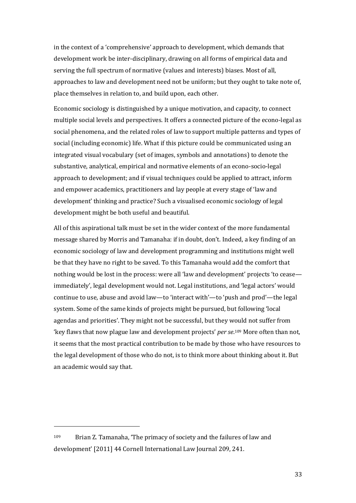in the context of a 'comprehensive' approach to development, which demands that development work be inter-disciplinary, drawing on all forms of empirical data and serving the full spectrum of normative (values and interests) biases. Most of all, approaches to law and development need not be uniform; but they ought to take note of, place themselves in relation to, and build upon, each other.

Economic sociology is distinguished by a unique motivation, and capacity, to connect multiple social levels and perspectives. It offers a connected picture of the econo-legal as social phenomena, and the related roles of law to support multiple patterns and types of social (including economic) life. What if this picture could be communicated using an integrated visual vocabulary (set of images, symbols and annotations) to denote the substantive, analytical, empirical and normative elements of an econo-socio-legal approach to development; and if visual techniques could be applied to attract, inform and empower academics, practitioners and lay people at every stage of 'law and development' thinking and practice? Such a visualised economic sociology of legal development might be both useful and beautiful.

All of this aspirational talk must be set in the wider context of the more fundamental message shared by Morris and Tamanaha: if in doubt, don't. Indeed, a key finding of an economic sociology of law and development programming and institutions might well be that they have no right to be saved. To this Tamanaha would add the comfort that nothing would be lost in the process: were all 'law and development' projects 'to cease immediately', legal development would not. Legal institutions, and 'legal actors' would continue to use, abuse and avoid law—to 'interact with'—to 'push and prod'—the legal system. Some of the same kinds of projects might be pursued, but following 'local agendas and priorities'. They might not be successful, but they would not suffer from 'key flaws that now plague law and development projects' *per se*.<sup>109</sup> More often than not, it seems that the most practical contribution to be made by those who have resources to the legal development of those who do not, is to think more about thinking about it. But an academic would say that.

 $\overline{\phantom{a}}$ 

 $109$  Brian Z. Tamanaha, 'The primacy of society and the failures of law and development' [2011] 44 Cornell International Law Journal 209, 241.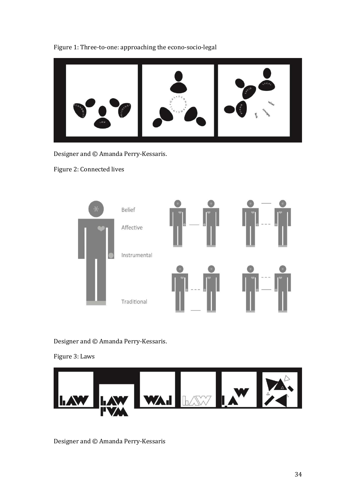



Designer and © Amanda Perry-Kessaris.

Figure 2: Connected lives



Designer and © Amanda Perry-Kessaris.

Figure 3: Laws



Designer and © Amanda Perry-Kessaris